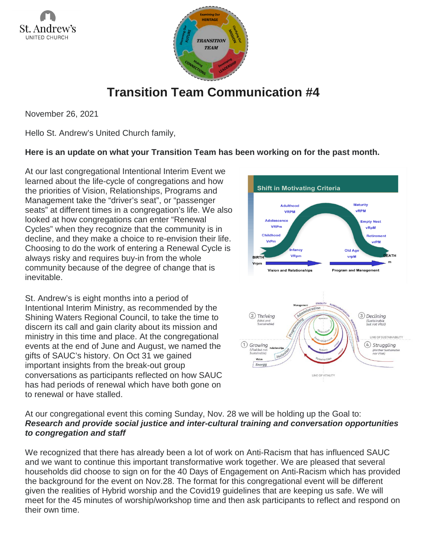



## **Transition Team Communication #4**

November 26, 2021

Hello St. Andrew's United Church family,

## **Here is an update on what your Transition Team has been working on for the past month.**

At our last congregational Intentional Interim Event we learned about the life-cycle of congregations and how the priorities of Vision, Relationships, Programs and Management take the "driver's seat", or "passenger seats" at different times in a congregation's life. We also looked at how congregations can enter "Renewal Cycles" when they recognize that the community is in decline, and they make a choice to re-envision their life. Choosing to do the work of entering a Renewal Cycle is always risky and requires buy-in from the whole community because of the degree of change that is inevitable.

St. Andrew's is eight months into a period of Intentional Interim Ministry, as recommended by the Shining Waters Regional Council, to take the time to discern its call and gain clarity about its mission and ministry in this time and place. At the congregational events at the end of June and August, we named the gifts of SAUC's history. On Oct 31 we gained important insights from the break-out group conversations as participants reflected on how SAUC has had periods of renewal which have both gone on to renewal or have stalled.





## At our congregational event this coming Sunday, Nov. 28 we will be holding up the Goal to: *Research and provide social justice and inter-cultural training and conversation opportunities to congregation and staff*

We recognized that there has already been a lot of work on Anti-Racism that has influenced SAUC and we want to continue this important transformative work together. We are pleased that several households did choose to sign on for the 40 Days of Engagement on Anti-Racism which has provided the background for the event on Nov.28. The format for this congregational event will be different given the realities of Hybrid worship and the Covid19 guidelines that are keeping us safe. We will meet for the 45 minutes of worship/workshop time and then ask participants to reflect and respond on their own time.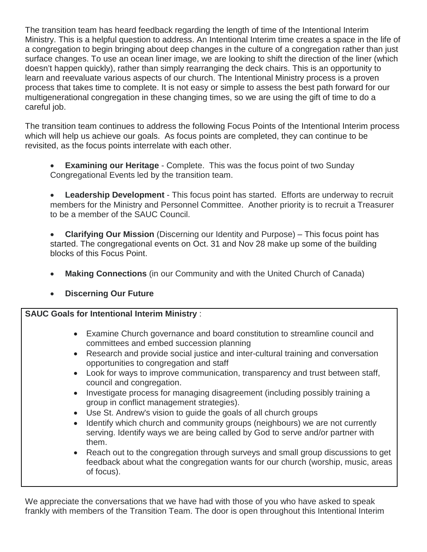The transition team has heard feedback regarding the length of time of the Intentional Interim Ministry. This is a helpful question to address. An Intentional Interim time creates a space in the life of a congregation to begin bringing about deep changes in the culture of a congregation rather than just surface changes. To use an ocean liner image, we are looking to shift the direction of the liner (which doesn't happen quickly), rather than simply rearranging the deck chairs. This is an opportunity to learn and reevaluate various aspects of our church. The Intentional Ministry process is a proven process that takes time to complete. It is not easy or simple to assess the best path forward for our multigenerational congregation in these changing times, so we are using the gift of time to do a careful job.

The transition team continues to address the following Focus Points of the Intentional Interim process which will help us achieve our goals. As focus points are completed, they can continue to be revisited, as the focus points interrelate with each other.

- **Examining our Heritage** Complete. This was the focus point of two Sunday Congregational Events led by the transition team.
- **Leadership Development** This focus point has started. Efforts are underway to recruit members for the Ministry and Personnel Committee. Another priority is to recruit a Treasurer to be a member of the SAUC Council.
- **Clarifying Our Mission** (Discerning our Identity and Purpose) This focus point has started. The congregational events on Oct. 31 and Nov 28 make up some of the building blocks of this Focus Point.
- **Making Connections** (in our Community and with the United Church of Canada)
- **Discerning Our Future**

## **SAUC Goals for Intentional Interim Ministry** :

- Examine Church governance and board constitution to streamline council and committees and embed succession planning
- Research and provide social justice and inter-cultural training and conversation opportunities to congregation and staff
- Look for ways to improve communication, transparency and trust between staff, council and congregation.
- Investigate process for managing disagreement (including possibly training a group in conflict management strategies).
- Use St. Andrew's vision to guide the goals of all church groups
- Identify which church and community groups (neighbours) we are not currently serving. Identify ways we are being called by God to serve and/or partner with them.
- Reach out to the congregation through surveys and small group discussions to get feedback about what the congregation wants for our church (worship, music, areas of focus).

We appreciate the conversations that we have had with those of you who have asked to speak frankly with members of the Transition Team. The door is open throughout this Intentional Interim